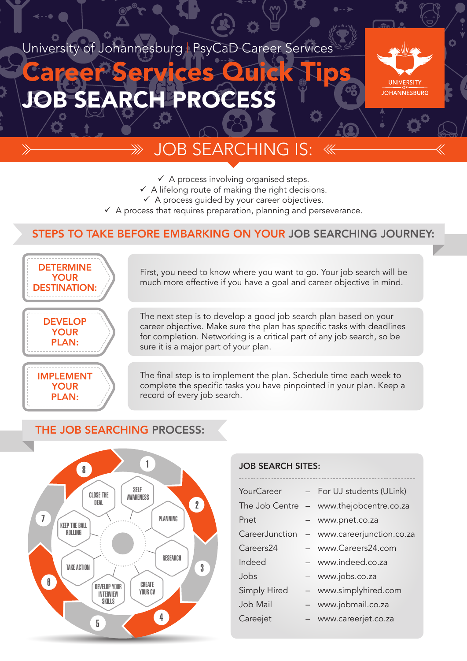University of Johannesburg | PsyCaD Career Services

# JOB SEARCH PROCESS Career Services Quick Tips

 $\ggg$ 



O

## **DB SEARCHING IS:**

- $\checkmark$  A process involving organised steps.
- $\checkmark$  A lifelong route of making the right decisions.
- $\checkmark$  A process quided by your career objectives.
- $\checkmark$  A process that requires preparation, planning and perseverance.

#### STEPS TO TAKE BEFORE EMBARKING ON YOUR JOB SEARCHING JOURNEY:



First, you need to know where you want to go. Your job search will be much more effective if you have a goal and career objective in mind.

The next step is to develop a good job search plan based on your career objective. Make sure the plan has specific tasks with deadlines for completion. Networking is a critical part of any job search, so be sure it is a major part of your plan.

The final step is to implement the plan. Schedule time each week to complete the specific tasks you have pinpointed in your plan. Keep a record of every job search.

#### THE JOB SEARCHING PROCESS:



#### JOB SEARCH SITES:

| <b>YourCareer</b>   | - For UJ students (ULink)  |
|---------------------|----------------------------|
| The Job Centre      | - www.thejobcentre.co.za   |
| Pnet                | - www.pnet.co.za           |
| CareerJunction      | - www.careerjunction.co.za |
| Careers24           | - www.Careers24.com        |
| Indeed              | - www.indeed.co.za         |
| Jobs                | - www.jobs.co.za           |
| <b>Simply Hired</b> | - www.simplyhired.com      |
| Job Mail            | - www.jobmail.co.za        |
| Careejet            | - www.careerjet.co.za      |
|                     |                            |